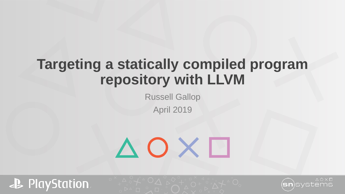### **Targeting a statically compiled program repository with LLVM**

Russell Gallop April 2019

# AOX0



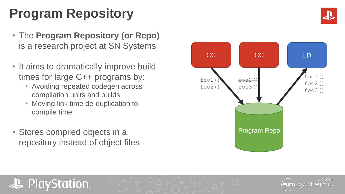### **Program Repository**

- The **Program Repository (or Repo)** is a research project at SN Systems
- It aims to dramatically improve build times for large C++ programs by:
	- Avoiding repeated codegen across compilation units and builds
	- Moving link time de-duplication to compile time
- Stores compiled objects in a repository instead of object files

**PlayStation** 





### $\wedge$   $\cap$   $\times$   $\Gamma$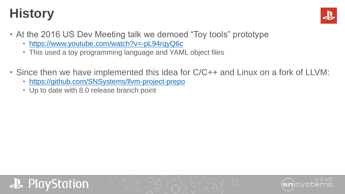### **History**



- At the 2016 US Dev Meeting talk we demoed "Toy tools" prototype
	- <https://www.youtube.com/watch?v=-pL94rqyQ6c>
	- This used a toy programming language and YAML object files
- Since then we have implemented this idea for C/C++ and Linux on a fork of LLVM:
	- <https://github.com/SNSystems/llvm-project-prepo>
	- Up to date with 8.0 release branch point



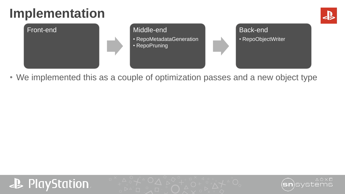### **Implementation**





• We implemented this as a couple of optimization passes and a new object type



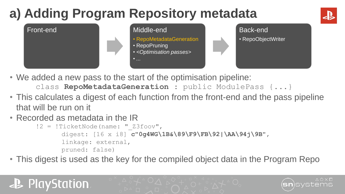## **a) Adding Program Repository metadata**





• We added a new pass to the start of the optimisation pipeline:

class **RepoMetadataGeneration** : public ModulePass {...}

- This calculates a digest of each function from the front-end and the pass pipeline that will be run on it
- Recorded as metadata in the IR

!2 = !TicketNode(name: "\_Z3foov", digest: [16 x i8] **c"0g4WG\1B&\89\F9\FB\92|\AA\94j\9B"**, linkage: external, pruned: false)

• This digest is used as the key for the compiled object data in the Program Repo

### **PlayStation**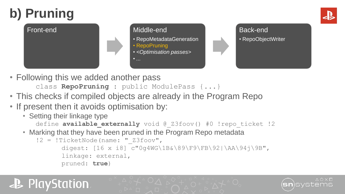## **b) Pruning**

### Front-end Middle-end

- RepoMetadataGeneration
- RepoPruning
- *<Optimisation passes>*



- Following this we added another pass class **RepoPruning** : public ModulePass {...}
- This checks if compiled objects are already in the Program Repo

• *...*

- If present then it avoids optimisation by:
	- Setting their linkage type

define **available externally** void @ Z3foov() #0 !repo ticket !2

• Marking that they have been pruned in the Program Repo metadata

```
!2 = !TicketNode(name: "_Z3foov",
   digest: [16 x i8] c"0g4WG\1B&\89\F9\FB\92|\AA\94j\9B",
   linkage: external,
   pruned: true)
```
### **P** PlayStation.

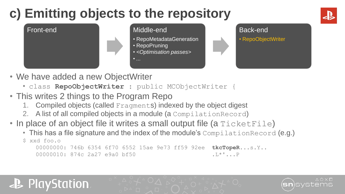### **c) Emitting objects to the repository**





- We have added a new ObjectWriter
	- class **RepoObjectWriter** : public MCObjectWriter {
- This writes 2 things to the Program Repo
	- 1. Compiled objects (called Fragments) indexed by the object digest
	- 2. A list of all compiled objects in a module (a CompilationRecord)
- In place of an object file it writes a small output file (a TicketFile)
	- This has a file signature and the index of the module's CompilationRecord (e.g.)

```
$ xxd foo.o
00000000: 746b 6354 6f70 6552 15ae 9e73 ff59 92ee tkcTopeR...s.Y..
00000010: 874c 2a27 e9a0 bf50 .L*'...P
```
### PlayStation。

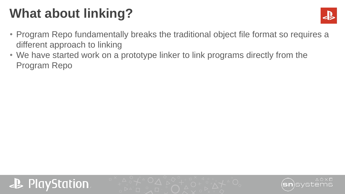### **What about linking?**



- Program Repo fundamentally breaks the traditional object file format so requires a different approach to linking
- We have started work on a prototype linker to link programs directly from the Program Repo



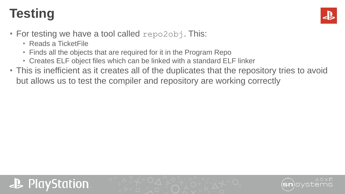### **Testing**



- For testing we have a tool called  $\text{repo2obj}$ . This:
	- Reads a TicketFile
	- Finds all the objects that are required for it in the Program Repo
	- Creates ELF object files which can be linked with a standard ELF linker
- This is inefficient as it creates all of the duplicates that the repository tries to avoid but allows us to test the compiler and repository are working correctly



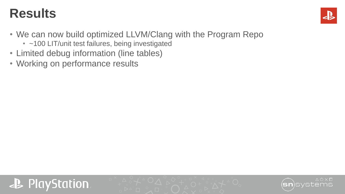### **Results**



- We can now build optimized LLVM/Clang with the Program Repo
	- ~100 LIT/unit test failures, being investigated
- Limited debug information (line tables)
- Working on performance results